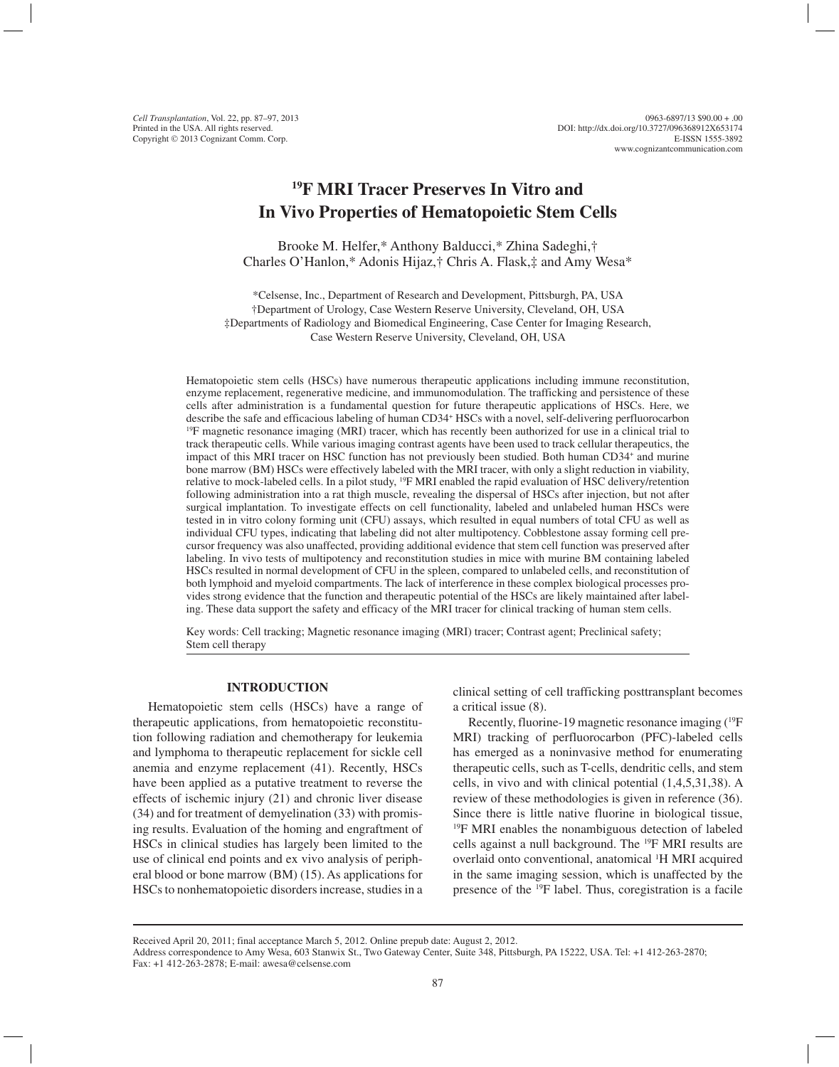# **19F MRI Tracer Preserves In Vitro and In Vivo Properties of Hematopoietic Stem Cells**

Brooke M. Helfer,\* Anthony Balducci,\* Zhina Sadeghi,† Charles O'Hanlon,\* Adonis Hijaz,† Chris A. Flask,‡ and Amy Wesa\*

\*Celsense, Inc., Department of Research and Development, Pittsburgh, PA, USA †Department of Urology, Case Western Reserve University, Cleveland, OH, USA ‡Departments of Radiology and Biomedical Engineering, Case Center for Imaging Research, Case Western Reserve University, Cleveland, OH, USA

Hematopoietic stem cells (HSCs) have numerous therapeutic applications including immune reconstitution, enzyme replacement, regenerative medicine, and immunomodulation. The trafficking and persistence of these cells after administration is a fundamental question for future therapeutic applications of HSCs. Here, we describe the safe and efficacious labeling of human CD34<sup>+</sup> HSCs with a novel, self-delivering perfluorocarbon  ${}^{19}F$  magnetic resonance imaging (MRI) tracer, which has recently been authorized for use in a clinical trial to track therapeutic cells. While various imaging contrast agents have been used to track cellular therapeutics, the impact of this MRI tracer on HSC function has not previously been studied. Both human CD34<sup>+</sup> and murine bone marrow (BM) HSCs were effectively labeled with the MRI tracer, with only a slight reduction in viability, relative to mock-labeled cells. In a pilot study, 19F MRI enabled the rapid evaluation of HSC delivery/retention following administration into a rat thigh muscle, revealing the dispersal of HSCs after injection, but not after surgical implantation. To investigate effects on cell functionality, labeled and unlabeled human HSCs were tested in in vitro colony forming unit (CFU) assays, which resulted in equal numbers of total CFU as well as individual CFU types, indicating that labeling did not alter multipotency. Cobblestone assay forming cell precursor frequency was also unaffected, providing additional evidence that stem cell function was preserved after labeling. In vivo tests of multipotency and reconstitution studies in mice with murine BM containing labeled HSCs resulted in normal development of CFU in the spleen, compared to unlabeled cells, and reconstitution of both lymphoid and myeloid compartments. The lack of interference in these complex biological processes provides strong evidence that the function and therapeutic potential of the HSCs are likely maintained after labeling. These data support the safety and efficacy of the MRI tracer for clinical tracking of human stem cells.

Key words: Cell tracking; Magnetic resonance imaging (MRI) tracer; Contrast agent; Preclinical safety; Stem cell therapy

## **introduction**

Hematopoietic stem cells (HSCs) have a range of therapeutic applications, from hematopoietic reconstitution following radiation and chemotherapy for leukemia and lymphoma to therapeutic replacement for sickle cell anemia and enzyme replacement (41). Recently, HSCs have been applied as a putative treatment to reverse the effects of ischemic injury (21) and chronic liver disease (34) and for treatment of demyelination (33) with promising results. Evaluation of the homing and engraftment of HSCs in clinical studies has largely been limited to the use of clinical end points and ex vivo analysis of peripheral blood or bone marrow (BM) (15). As applications for HSCs to nonhematopoietic disorders increase, studies in a

clinical setting of cell trafficking posttransplant becomes a critical issue (8).

Recently, fluorine-19 magnetic resonance imaging (<sup>19</sup>F) MRI) tracking of perfluorocarbon (PFC)-labeled cells has emerged as a noninvasive method for enumerating therapeutic cells, such as T-cells, dendritic cells, and stem cells, in vivo and with clinical potential (1,4,5,31,38). A review of these methodologies is given in reference (36). Since there is little native fluorine in biological tissue, 19F MRI enables the nonambiguous detection of labeled cells against a null background. The 19F MRI results are overlaid onto conventional, anatomical 1 H MRI acquired in the same imaging session, which is unaffected by the presence of the 19F label. Thus, coregistration is a facile

Received April 20, 2011; final acceptance March 5, 2012. Online prepub date: August 2, 2012.

Address correspondence to Amy Wesa, 603 Stanwix St., Two Gateway Center, Suite 348, Pittsburgh, PA 15222, USA. Tel: +1 412-263-2870; Fax: +1 412-263-2878; E-mail: awesa@celsense.com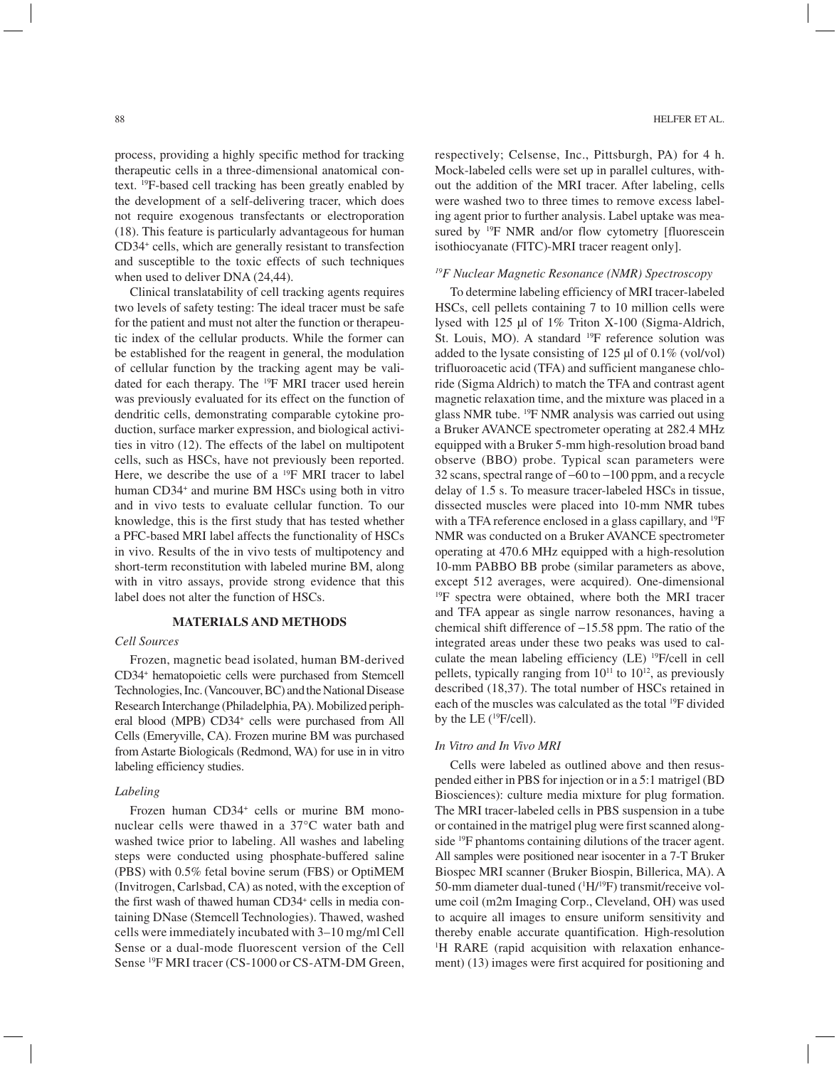process, providing a highly specific method for tracking therapeutic cells in a three-dimensional anatomical context. 19F-based cell tracking has been greatly enabled by the development of a self-delivering tracer, which does not require exogenous transfectants or electroporation (18). This feature is particularly advantageous for human CD34+ cells, which are generally resistant to transfection and susceptible to the toxic effects of such techniques when used to deliver DNA (24,44).

Clinical translatability of cell tracking agents requires two levels of safety testing: The ideal tracer must be safe for the patient and must not alter the function or therapeutic index of the cellular products. While the former can be established for the reagent in general, the modulation of cellular function by the tracking agent may be validated for each therapy. The 19F MRI tracer used herein was previously evaluated for its effect on the function of dendritic cells, demonstrating comparable cytokine production, surface marker expression, and biological activities in vitro (12). The effects of the label on multipotent cells, such as HSCs, have not previously been reported. Here, we describe the use of a 19F MRI tracer to label human CD34+ and murine BM HSCs using both in vitro and in vivo tests to evaluate cellular function. To our knowledge, this is the first study that has tested whether a PFC-based MRI label affects the functionality of HSCs in vivo. Results of the in vivo tests of multipotency and short-term reconstitution with labeled murine BM, along with in vitro assays, provide strong evidence that this label does not alter the function of HSCs.

## **MATERIALS AND METHODS**

## *Cell Sources*

Frozen, magnetic bead isolated, human BM-derived CD34+ hematopoietic cells were purchased from Stemcell Technologies, Inc. (Vancouver, BC) and the National Disease Research Interchange (Philadelphia, PA). Mobilized peripheral blood (MPB) CD34+ cells were purchased from All Cells (Emeryville, CA). Frozen murine BM was purchased from Astarte Biologicals (Redmond, WA) for use in in vitro labeling efficiency studies.

## *Labeling*

Frozen human CD34<sup>+</sup> cells or murine BM mononuclear cells were thawed in a 37°C water bath and washed twice prior to labeling. All washes and labeling steps were conducted using phosphate-buffered saline (PBS) with 0.5% fetal bovine serum (FBS) or OptiMEM (Invitrogen, Carlsbad, CA) as noted, with the exception of the first wash of thawed human CD34<sup>+</sup> cells in media containing DNase (Stemcell Technologies). Thawed, washed cells were immediately incubated with 3–10 mg/ml Cell Sense or a dual-mode fluorescent version of the Cell Sense <sup>19</sup>F MRI tracer (CS-1000 or CS-ATM-DM Green,

respectively; Celsense, Inc., Pittsburgh, PA) for 4 h. Mock-labeled cells were set up in parallel cultures, without the addition of the MRI tracer. After labeling, cells were washed two to three times to remove excess labeling agent prior to further analysis. Label uptake was measured by <sup>19</sup>F NMR and/or flow cytometry [fluorescein isothiocyanate (FITC)-MRI tracer reagent only].

## *19F Nuclear Magnetic Resonance (NMR) Spectroscopy*

To determine labeling efficiency of MRI tracer-labeled HSCs, cell pellets containing 7 to 10 million cells were lysed with 125 μl of 1% Triton X-100 (Sigma-Aldrich, St. Louis, MO). A standard 19F reference solution was added to the lysate consisting of 125 μl of 0.1% (vol/vol) trifluoroacetic acid (TFA) and sufficient manganese chloride (Sigma Aldrich) to match the TFA and contrast agent magnetic relaxation time, and the mixture was placed in a glass NMR tube. 19F NMR analysis was carried out using a Bruker AVANCE spectrometer operating at 282.4 MHz equipped with a Bruker 5-mm high-resolution broad band observe (BBO) probe. Typical scan parameters were 32 scans, spectral range of  $-60$  to  $-100$  ppm, and a recycle delay of 1.5 s. To measure tracer-labeled HSCs in tissue, dissected muscles were placed into 10-mm NMR tubes with a TFA reference enclosed in a glass capillary, and <sup>19</sup>F NMR was conducted on a Bruker AVANCE spectrometer operating at 470.6 MHz equipped with a high-resolution 10-mm PABBO BB probe (similar parameters as above, except 512 averages, were acquired). One-dimensional <sup>19</sup>F spectra were obtained, where both the MRI tracer and TFA appear as single narrow resonances, having a chemical shift difference of  $-15.58$  ppm. The ratio of the integrated areas under these two peaks was used to calculate the mean labeling efficiency (LE) 19F/cell in cell pellets, typically ranging from  $10^{11}$  to  $10^{12}$ , as previously described (18,37). The total number of HSCs retained in each of the muscles was calculated as the total 19F divided by the LE  $(^{19}$ F/cell).

## *In Vitro and In Vivo MRI*

Cells were labeled as outlined above and then resuspended either in PBS for injection or in a 5:1 matrigel (BD Biosciences): culture media mixture for plug formation. The MRI tracer-labeled cells in PBS suspension in a tube or contained in the matrigel plug were first scanned alongside 19F phantoms containing dilutions of the tracer agent. All samples were positioned near isocenter in a 7-T Bruker Biospec MRI scanner (Bruker Biospin, Billerica, MA). A 50-mm diameter dual-tuned (<sup>1</sup>H/<sup>19</sup>F) transmit/receive volume coil (m2m Imaging Corp., Cleveland, OH) was used to acquire all images to ensure uniform sensitivity and thereby enable accurate quantification. High-resolution <sup>1</sup>H RARE (rapid acquisition with relaxation enhancement) (13) images were first acquired for positioning and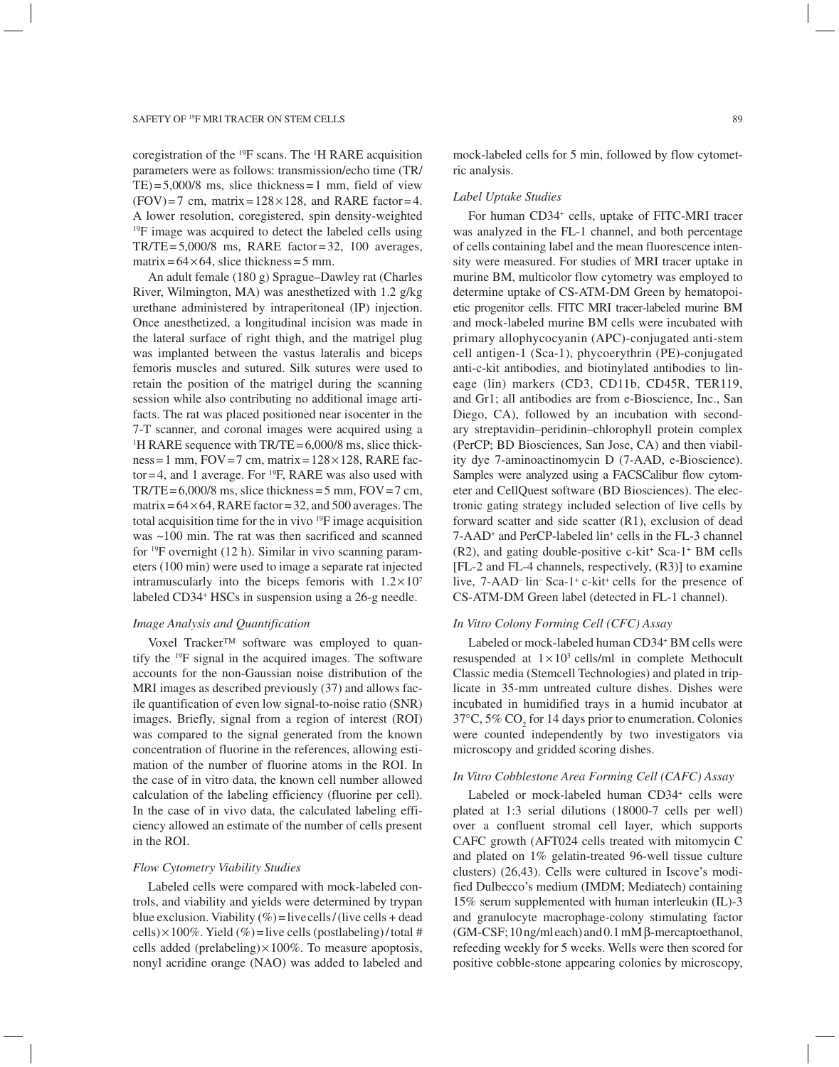coregistration of the  $^{19}F$  scans. The  $^{1}H$  RARE acquisition parameters were as follows: transmission/echo time (TR/  $TE$ )=5,000/8 ms, slice thickness=1 mm, field of view  $(FOV)=7$  cm, matrix=128×128, and RARE factor=4. A lower resolution, coregistered, spin density-weighted 19F image was acquired to detect the labeled cells using TR/TE=5,000/8 ms, RARE factor=32, 100 averages, matrix= $64 \times 64$ , slice thickness=5 mm.

An adult female (180 g) Sprague–Dawley rat (Charles River, Wilmington, MA) was anesthetized with 1.2 g/kg urethane administered by intraperitoneal (IP) injection. Once anesthetized, a longitudinal incision was made in the lateral surface of right thigh, and the matrigel plug was implanted between the vastus lateralis and biceps femoris muscles and sutured. Silk sutures were used to retain the position of the matrigel during the scanning session while also contributing no additional image artifacts. The rat was placed positioned near isocenter in the 7-T scanner, and coronal images were acquired using a 1 H RARE sequence with TR/TE=6,000/8 ms, slice thickness = 1 mm,  $FOV = 7$  cm, matrix =  $128 \times 128$ , RARE factor = 4, and 1 average. For  $^{19}$ F, RARE was also used with  $TR/TE = 6,000/8$  ms, slice thickness = 5 mm,  $FOV = 7$  cm, matrix= $64 \times 64$ , RARE factor=32, and 500 averages. The total acquisition time for the in vivo 19F image acquisition was ~100 min. The rat was then sacrificed and scanned for 19F overnight (12 h). Similar in vivo scanning parameters (100 min) were used to image a separate rat injected intramuscularly into the biceps femoris with  $1.2 \times 10^7$ labeled CD34+ HSCs in suspension using a 26-g needle.

## *Image Analysis and Quantification*

Voxel Tracker™ software was employed to quantify the 19F signal in the acquired images. The software accounts for the non-Gaussian noise distribution of the MRI images as described previously (37) and allows facile quantification of even low signal-to-noise ratio (SNR) images. Briefly, signal from a region of interest (ROI) was compared to the signal generated from the known concentration of fluorine in the references, allowing estimation of the number of fluorine atoms in the ROI. In the case of in vitro data, the known cell number allowed calculation of the labeling efficiency (fluorine per cell). In the case of in vivo data, the calculated labeling efficiency allowed an estimate of the number of cells present in the ROI.

#### *Flow Cytometry Viability Studies*

Labeled cells were compared with mock-labeled controls, and viability and yields were determined by trypan blue exclusion. Viability  $(\%)=$ live cells / (live cells + dead cells) $\times$ 100%. Yield (%)=live cells (postlabeling)/total # cells added (prelabeling) $\times$ 100%. To measure apoptosis, nonyl acridine orange (NAO) was added to labeled and mock-labeled cells for 5 min, followed by flow cytometric analysis.

### *Label Uptake Studies*

For human CD34<sup>+</sup> cells, uptake of FITC-MRI tracer was analyzed in the FL-1 channel, and both percentage of cells containing label and the mean fluorescence intensity were measured. For studies of MRI tracer uptake in murine BM, multicolor flow cytometry was employed to determine uptake of CS-ATM-DM Green by hematopoietic progenitor cells. FITC MRI tracer-labeled murine BM and mock-labeled murine BM cells were incubated with primary allophycocyanin (APC)-conjugated anti-stem cell antigen-1 (Sca-1), phycoerythrin (PE)-conjugated anti-c-kit antibodies, and biotinylated antibodies to lineage (lin) markers (CD3, CD11b, CD45R, TER119, and Gr1; all antibodies are from e-Bioscience, Inc., San Diego, CA), followed by an incubation with secondary streptavidin–peridinin–chlorophyll protein complex (PerCP; BD Biosciences, San Jose, CA) and then viability dye 7-aminoactinomycin D (7-AAD, e-Bioscience). Samples were analyzed using a FACSCalibur flow cytometer and CellQuest software (BD Biosciences). The electronic gating strategy included selection of live cells by forward scatter and side scatter (R1), exclusion of dead 7-AAD+ and PerCP-labeled lin+ cells in the FL-3 channel (R2), and gating double-positive c-kit<sup>+</sup> Sca-1<sup>+</sup> BM cells [FL-2 and FL-4 channels, respectively, (R3)] to examine live, 7-AAD<sup>-</sup> lin<sup>-</sup> Sca-1<sup>+</sup> c-kit<sup>+</sup> cells for the presence of CS-ATM-DM Green label (detected in FL-1 channel).

# *In Vitro Colony Forming Cell (CFC) Assay*

Labeled or mock-labeled human CD34+ BM cells were resuspended at  $1\times10^3$  cells/ml in complete Methocult Classic media (Stemcell Technologies) and plated in triplicate in 35-mm untreated culture dishes. Dishes were incubated in humidified trays in a humid incubator at 37°C, 5%  $CO_2$  for 14 days prior to enumeration. Colonies were counted independently by two investigators via microscopy and gridded scoring dishes.

# *In Vitro Cobblestone Area Forming Cell (CAFC) Assay*

Labeled or mock-labeled human CD34<sup>+</sup> cells were plated at 1:3 serial dilutions (18000-7 cells per well) over a confluent stromal cell layer, which supports CAFC growth (AFT024 cells treated with mitomycin C and plated on 1% gelatin-treated 96-well tissue culture clusters) (26,43). Cells were cultured in Iscove's modified Dulbecco's medium (IMDM; Mediatech) containing 15% serum supplemented with human interleukin (IL)-3 and granulocyte macrophage-colony stimulating factor (GM-CSF;  $10$  ng/ml each) and  $0.1$  mM  $\beta$ -mercaptoethanol, refeeding weekly for 5 weeks. Wells were then scored for positive cobble-stone appearing colonies by microscopy,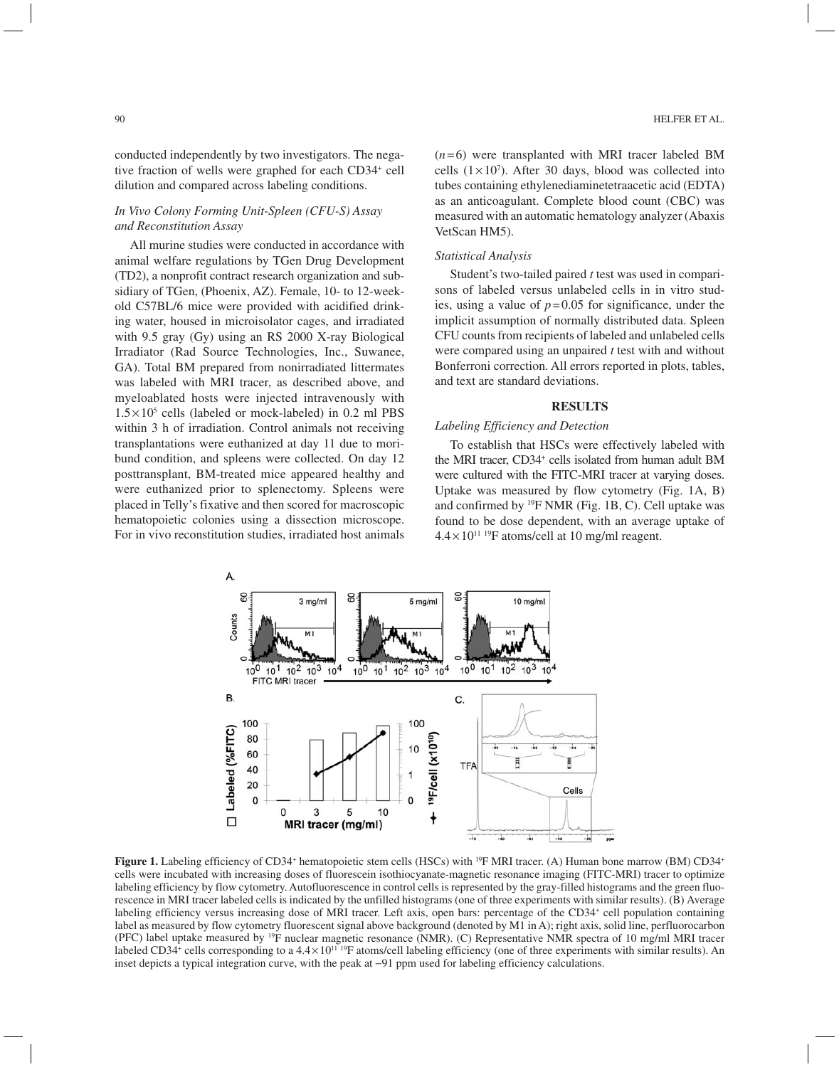conducted independently by two investigators. The negative fraction of wells were graphed for each CD34+ cell dilution and compared across labeling conditions.

# *In Vivo Colony Forming Unit-Spleen (CFU-S) Assay and Reconstitution Assay*

All murine studies were conducted in accordance with animal welfare regulations by TGen Drug Development (TD2), a nonprofit contract research organization and subsidiary of TGen, (Phoenix, AZ). Female, 10- to 12-weekold C57BL/6 mice were provided with acidified drinking water, housed in microisolator cages, and irradiated with 9.5 gray (Gy) using an RS 2000 X-ray Biological Irradiator (Rad Source Technologies, Inc., Suwanee, GA). Total BM prepared from nonirradiated littermates was labeled with MRI tracer, as described above, and myeloablated hosts were injected intravenously with  $1.5 \times 10^5$  cells (labeled or mock-labeled) in 0.2 ml PBS within 3 h of irradiation. Control animals not receiving transplantations were euthanized at day 11 due to moribund condition, and spleens were collected. On day 12 posttransplant, BM-treated mice appeared healthy and were euthanized prior to splenectomy. Spleens were placed in Telly's fixative and then scored for macroscopic hematopoietic colonies using a dissection microscope. For in vivo reconstitution studies, irradiated host animals

 $(n=6)$  were transplanted with MRI tracer labeled BM cells  $(1 \times 10^7)$ . After 30 days, blood was collected into tubes containing ethylenediaminetetraacetic acid (EDTA) as an anticoagulant. Complete blood count (CBC) was measured with an automatic hematology analyzer (Abaxis VetScan HM5).

# *Statistical Analysis*

Student's two-tailed paired *t* test was used in comparisons of labeled versus unlabeled cells in in vitro studies, using a value of  $p=0.05$  for significance, under the implicit assumption of normally distributed data. Spleen CFU counts from recipients of labeled and unlabeled cells were compared using an unpaired *t* test with and without Bonferroni correction. All errors reported in plots, tables, and text are standard deviations.

# **RESULTS**

#### *Labeling Efficiency and Detection*

To establish that HSCs were effectively labeled with the MRI tracer, CD34<sup>+</sup> cells isolated from human adult BM were cultured with the FITC-MRI tracer at varying doses. Uptake was measured by flow cytometry (Fig. 1A, B) and confirmed by 19F NMR (Fig. 1B, C). Cell uptake was found to be dose dependent, with an average uptake of  $4.4\times10^{11}$  <sup>19</sup>F atoms/cell at 10 mg/ml reagent.



**Figure 1.** Labeling efficiency of CD34<sup>+</sup> hematopoietic stem cells (HSCs) with <sup>19</sup>F MRI tracer. (A) Human bone marrow (BM) CD34<sup>+</sup> cells were incubated with increasing doses of fluorescein isothiocyanate-magnetic resonance imaging (FITC-MRI) tracer to optimize labeling efficiency by flow cytometry. Autofluorescence in control cells is represented by the gray-filled histograms and the green fluorescence in MRI tracer labeled cells is indicated by the unfilled histograms (one of three experiments with similar results). (B) Average labeling efficiency versus increasing dose of MRI tracer. Left axis, open bars: percentage of the CD34+ cell population containing label as measured by flow cytometry fluorescent signal above background (denoted by M1 in A); right axis, solid line, perfluorocarbon (PFC) label uptake measured by 19F nuclear magnetic resonance (NMR). (C) Representative NMR spectra of 10 mg/ml MRI tracer labeled CD34<sup>+</sup> cells corresponding to a  $4.4 \times 10^{11}$ <sup>19</sup>F atoms/cell labeling efficiency (one of three experiments with similar results). An inset depicts a typical integration curve, with the peak at -91 ppm used for labeling efficiency calculations.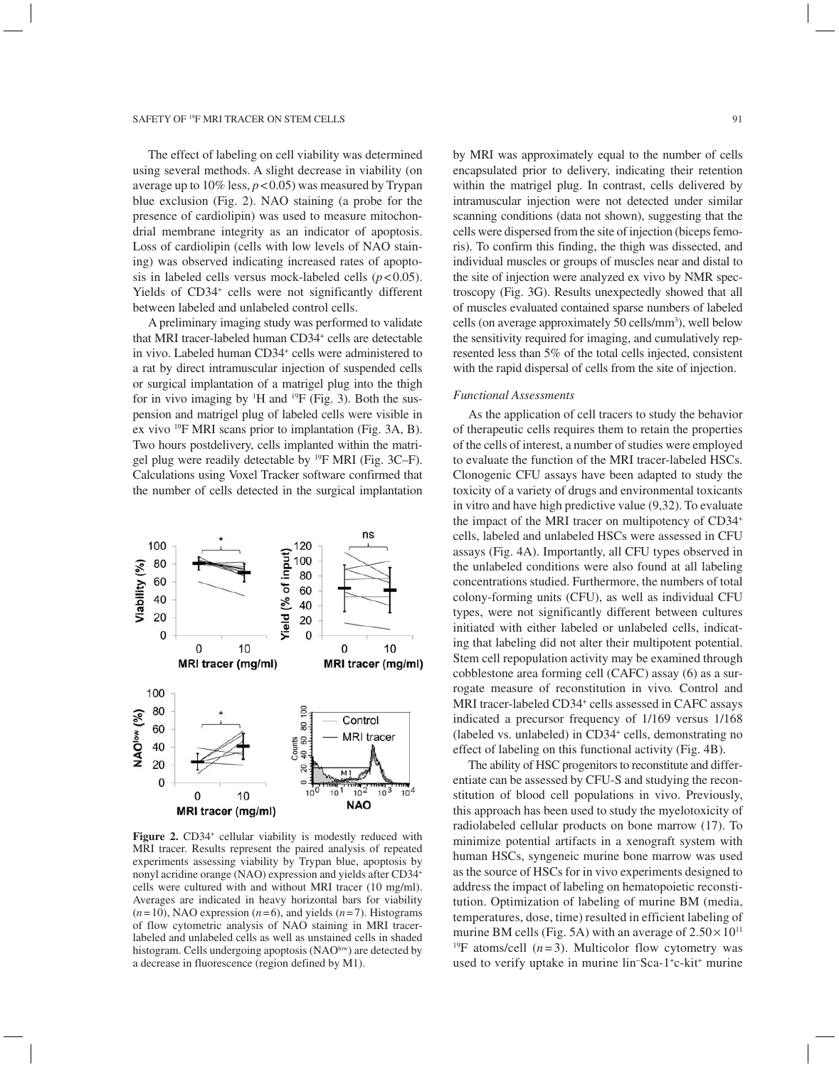The effect of labeling on cell viability was determined using several methods. A slight decrease in viability (on average up to  $10\%$  less,  $p < 0.05$ ) was measured by Trypan blue exclusion (Fig. 2). NAO staining (a probe for the presence of cardiolipin) was used to measure mitochondrial membrane integrity as an indicator of apoptosis. Loss of cardiolipin (cells with low levels of NAO staining) was observed indicating increased rates of apoptosis in labeled cells versus mock-labeled cells  $(p<0.05)$ . Yields of CD34<sup>+</sup> cells were not significantly different between labeled and unlabeled control cells.

A preliminary imaging study was performed to validate that MRI tracer-labeled human CD34+ cells are detectable in vivo. Labeled human CD34+ cells were administered to a rat by direct intramuscular injection of suspended cells or surgical implantation of a matrigel plug into the thigh for in vivo imaging by  $H$  and  $^{19}F$  (Fig. 3). Both the suspension and matrigel plug of labeled cells were visible in ex vivo 19F MRI scans prior to implantation (Fig. 3A, B). Two hours postdelivery, cells implanted within the matrigel plug were readily detectable by 19F MRI (Fig. 3C–F). Calculations using Voxel Tracker software confirmed that the number of cells detected in the surgical implantation



Figure 2. CD34<sup>+</sup> cellular viability is modestly reduced with MRI tracer. Results represent the paired analysis of repeated experiments assessing viability by Trypan blue, apoptosis by nonyl acridine orange (NAO) expression and yields after CD34+ cells were cultured with and without MRI tracer (10 mg/ml). Averages are indicated in heavy horizontal bars for viability  $(n=10)$ , NAO expression  $(n=6)$ , and yields  $(n=7)$ . Histograms of flow cytometric analysis of NAO staining in MRI tracerlabeled and unlabeled cells as well as unstained cells in shaded histogram. Cells undergoing apoptosis (NAO<sup>low</sup>) are detected by a decrease in fluorescence (region defined by M1).

by MRI was approximately equal to the number of cells encapsulated prior to delivery, indicating their retention within the matrigel plug. In contrast, cells delivered by intramuscular injection were not detected under similar scanning conditions (data not shown), suggesting that the cells were dispersed from the site of injection (biceps femoris). To confirm this finding, the thigh was dissected, and individual muscles or groups of muscles near and distal to the site of injection were analyzed ex vivo by NMR spectroscopy (Fig. 3G). Results unexpectedly showed that all of muscles evaluated contained sparse numbers of labeled cells (on average approximately 50 cells/mm<sup>3</sup>), well below the sensitivity required for imaging, and cumulatively represented less than 5% of the total cells injected, consistent with the rapid dispersal of cells from the site of injection.

#### *Functional Assessments*

As the application of cell tracers to study the behavior of therapeutic cells requires them to retain the properties of the cells of interest, a number of studies were employed to evaluate the function of the MRI tracer-labeled HSCs. Clonogenic CFU assays have been adapted to study the toxicity of a variety of drugs and environmental toxicants in vitro and have high predictive value (9,32). To evaluate the impact of the MRI tracer on multipotency of CD34+ cells, labeled and unlabeled HSCs were assessed in CFU assays (Fig. 4A). Importantly, all CFU types observed in the unlabeled conditions were also found at all labeling concentrations studied. Furthermore, the numbers of total colony-forming units (CFU), as well as individual CFU types, were not significantly different between cultures initiated with either labeled or unlabeled cells, indicating that labeling did not alter their multipotent potential. Stem cell repopulation activity may be examined through cobblestone area forming cell (CAFC) assay (6) as a surrogate measure of reconstitution in vivo*.* Control and MRI tracer-labeled CD34<sup>+</sup> cells assessed in CAFC assays indicated a precursor frequency of 1/169 versus 1/168 (labeled vs. unlabeled) in CD34<sup>+</sup> cells, demonstrating no effect of labeling on this functional activity (Fig. 4B).

The ability of HSC progenitors to reconstitute and differentiate can be assessed by CFU-S and studying the reconstitution of blood cell populations in vivo. Previously, this approach has been used to study the myelotoxicity of radiolabeled cellular products on bone marrow (17). To minimize potential artifacts in a xenograft system with human HSCs, syngeneic murine bone marrow was used as the source of HSCs for in vivo experiments designed to address the impact of labeling on hematopoietic reconstitution. Optimization of labeling of murine BM (media, temperatures, dose, time) resulted in efficient labeling of murine BM cells (Fig. 5A) with an average of  $2.50 \times 10^{11}$ <sup>19</sup>F atoms/cell  $(n=3)$ . Multicolor flow cytometry was used to verify uptake in murine lin<sup>-</sup>Sca-1<sup>+</sup>c-kit<sup>+</sup> murine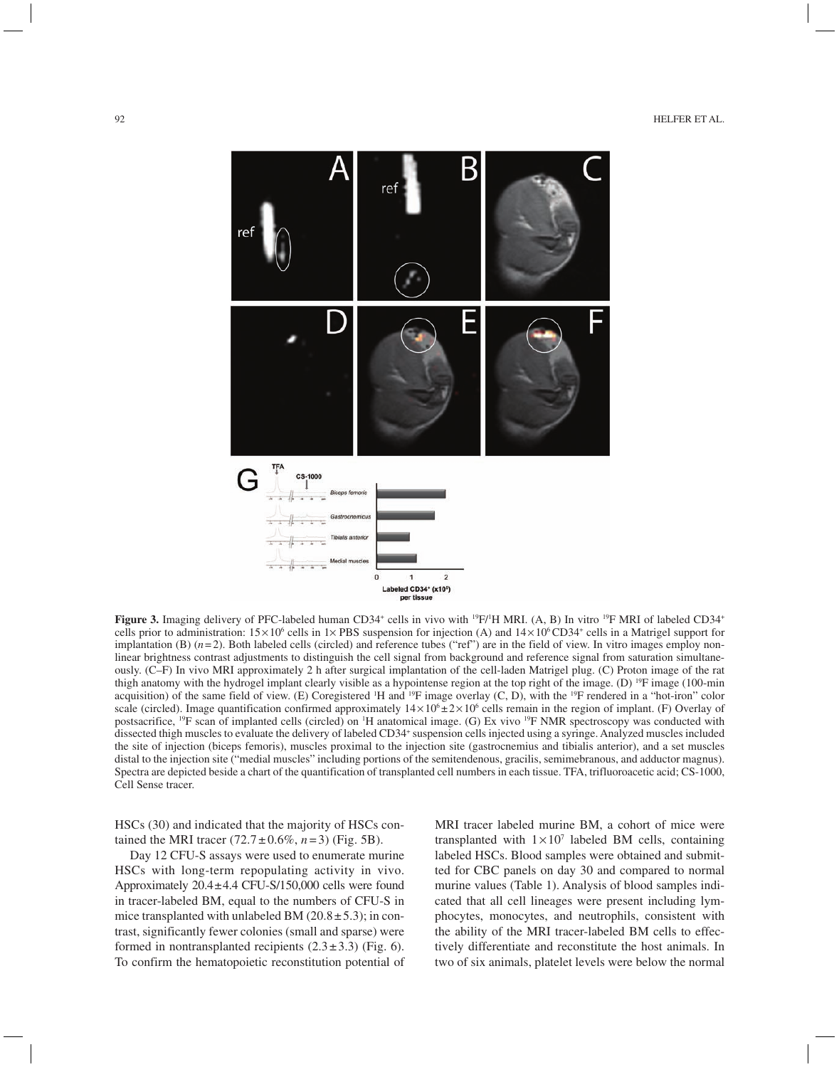

**Figure 3.** Imaging delivery of PFC-labeled human CD34<sup>+</sup> cells in vivo with <sup>19</sup>F/<sup>1</sup>H MRI. (A, B) In vitro <sup>19</sup>F MRI of labeled CD34<sup>+</sup> cells prior to administration:  $15 \times 10^6$  cells in  $1 \times PBS$  suspension for injection (A) and  $14 \times 10^6$  CD34<sup>+</sup> cells in a Matrigel support for implantation (B) ( $n=2$ ). Both labeled cells (circled) and reference tubes ("ref") are in the field of view. In vitro images employ nonlinear brightness contrast adjustments to distinguish the cell signal from background and reference signal from saturation simultaneously. (C–F) In vivo MRI approximately 2 h after surgical implantation of the cell-laden Matrigel plug. (C) Proton image of the rat thigh anatomy with the hydrogel implant clearly visible as a hypointense region at the top right of the image. (D) 19F image (100-min acquisition) of the same field of view. (E) Coregistered <sup>1</sup>H and <sup>19</sup>F image overlay (C, D), with the <sup>19</sup>F rendered in a "hot-iron" color scale (circled). Image quantification confirmed approximately  $14 \times 10^6 \pm 2 \times 10^6$  cells remain in the region of implant. (F) Overlay of postsacrifice, <sup>19</sup>F scan of implanted cells (circled) on <sup>1</sup>H anatomical image. (G) Ex vivo <sup>19</sup>F NMR spectroscopy was conducted with dissected thigh muscles to evaluate the delivery of labeled CD34+ suspension cells injected using a syringe. Analyzed muscles included the site of injection (biceps femoris), muscles proximal to the injection site (gastrocnemius and tibialis anterior), and a set muscles distal to the injection site ("medial muscles" including portions of the semitendenous, gracilis, semimebranous, and adductor magnus). Spectra are depicted beside a chart of the quantification of transplanted cell numbers in each tissue. TFA, trifluoroacetic acid; CS-1000, Cell Sense tracer.

HSCs (30) and indicated that the majority of HSCs contained the MRI tracer  $(72.7 \pm 0.6\%, n=3)$  (Fig. 5B).

Day 12 CFU-S assays were used to enumerate murine HSCs with long-term repopulating activity in vivo. Approximately 20.4±4.4 CFU-S/150,000 cells were found in tracer-labeled BM, equal to the numbers of CFU-S in mice transplanted with unlabeled BM  $(20.8 \pm 5.3)$ ; in contrast, significantly fewer colonies (small and sparse) were formed in nontransplanted recipients  $(2.3 \pm 3.3)$  (Fig. 6). To confirm the hematopoietic reconstitution potential of MRI tracer labeled murine BM, a cohort of mice were transplanted with  $1 \times 10^7$  labeled BM cells, containing labeled HSCs. Blood samples were obtained and submitted for CBC panels on day 30 and compared to normal murine values (Table 1). Analysis of blood samples indicated that all cell lineages were present including lymphocytes, monocytes, and neutrophils, consistent with the ability of the MRI tracer-labeled BM cells to effectively differentiate and reconstitute the host animals. In two of six animals, platelet levels were below the normal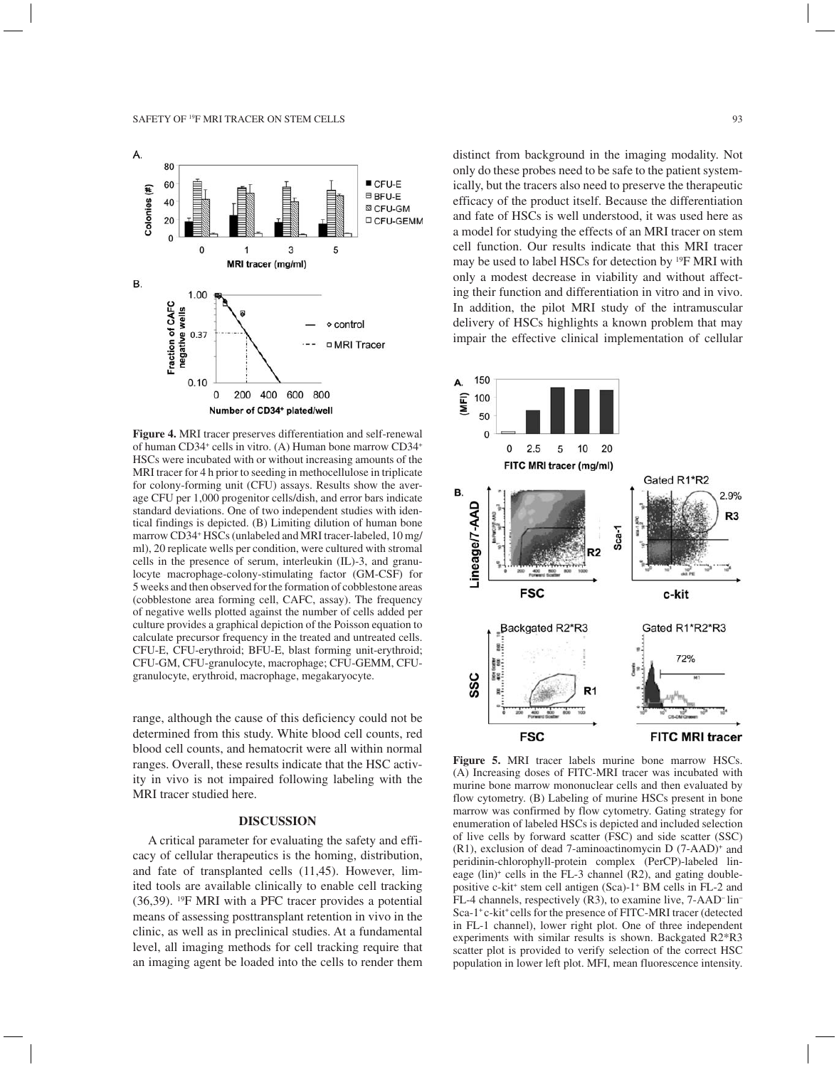

**Figure 4.** MRI tracer preserves differentiation and self-renewal of human CD34<sup>+</sup> cells in vitro. (A) Human bone marrow CD34<sup>+</sup> HSCs were incubated with or without increasing amounts of the MRI tracer for 4 h prior to seeding in methocellulose in triplicate for colony-forming unit (CFU) assays. Results show the average CFU per 1,000 progenitor cells/dish, and error bars indicate standard deviations. One of two independent studies with identical findings is depicted. (B) Limiting dilution of human bone marrow CD34+ HSCs (unlabeled and MRI tracer-labeled, 10 mg/ ml), 20 replicate wells per condition, were cultured with stromal cells in the presence of serum, interleukin (IL)-3, and granulocyte macrophage-colony-stimulating factor (GM-CSF) for 5 weeks and then observed for the formation of cobblestone areas (cobblestone area forming cell, CAFC, assay). The frequency of negative wells plotted against the number of cells added per culture provides a graphical depiction of the Poisson equation to calculate precursor frequency in the treated and untreated cells. CFU-E, CFU-erythroid; BFU-E, blast forming unit-erythroid; CFU-GM, CFU-granulocyte, macrophage; CFU-GEMM, CFUgranulocyte, erythroid, macrophage, megakaryocyte.

range, although the cause of this deficiency could not be determined from this study. White blood cell counts, red blood cell counts, and hematocrit were all within normal ranges. Overall, these results indicate that the HSC activity in vivo is not impaired following labeling with the MRI tracer studied here.

## **DISCUSSION**

A critical parameter for evaluating the safety and efficacy of cellular therapeutics is the homing, distribution, and fate of transplanted cells (11,45). However, limited tools are available clinically to enable cell tracking  $(36,39)$ . <sup>19</sup>F MRI with a PFC tracer provides a potential means of assessing posttransplant retention in vivo in the clinic, as well as in preclinical studies. At a fundamental level, all imaging methods for cell tracking require that an imaging agent be loaded into the cells to render them distinct from background in the imaging modality. Not only do these probes need to be safe to the patient systemically, but the tracers also need to preserve the therapeutic efficacy of the product itself. Because the differentiation and fate of HSCs is well understood, it was used here as a model for studying the effects of an MRI tracer on stem cell function. Our results indicate that this MRI tracer may be used to label HSCs for detection by 19F MRI with only a modest decrease in viability and without affecting their function and differentiation in vitro and in vivo. In addition, the pilot MRI study of the intramuscular delivery of HSCs highlights a known problem that may impair the effective clinical implementation of cellular



**Figure 5.** MRI tracer labels murine bone marrow HSCs. (A) Increasing doses of FITC-MRI tracer was incubated with murine bone marrow mononuclear cells and then evaluated by flow cytometry. (B) Labeling of murine HSCs present in bone marrow was confirmed by flow cytometry. Gating strategy for enumeration of labeled HSCs is depicted and included selection of live cells by forward scatter (FSC) and side scatter (SSC) (R1), exclusion of dead 7-aminoactinomycin D (7-AAD)+ and peridinin-chlorophyll-protein complex (PerCP)-labeled lineage (lin)<sup>+</sup> cells in the FL-3 channel (R2), and gating doublepositive c-kit<sup>+</sup> stem cell antigen (Sca)-1<sup>+</sup> BM cells in FL-2 and FL-4 channels, respectively (R3), to examine live, 7-AAD- lin-Sca-1<sup>+</sup> c-kit<sup>+</sup> cells for the presence of FITC-MRI tracer (detected in FL-1 channel), lower right plot. One of three independent experiments with similar results is shown. Backgated R2\*R3 scatter plot is provided to verify selection of the correct HSC population in lower left plot. MFI, mean fluorescence intensity.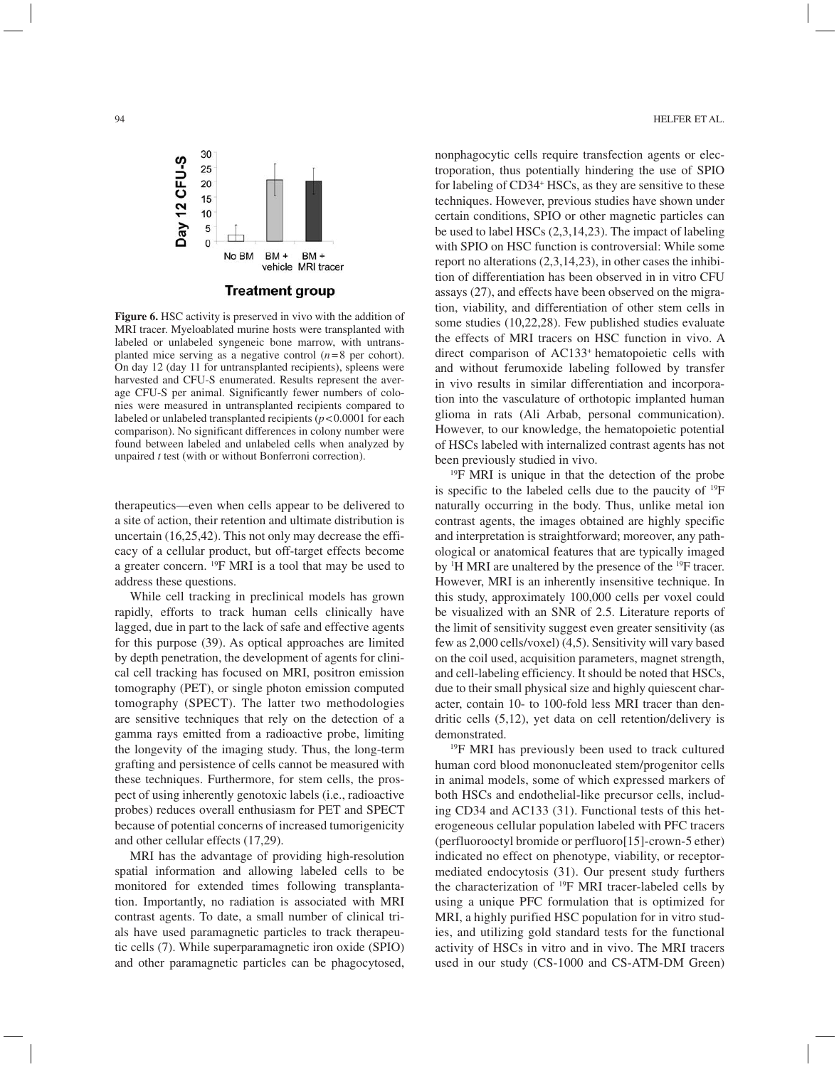

**Figure 6.** HSC activity is preserved in vivo with the addition of

MRI tracer. Myeloablated murine hosts were transplanted with labeled or unlabeled syngeneic bone marrow, with untransplanted mice serving as a negative control (*n*=8 per cohort). On day 12 (day 11 for untransplanted recipients), spleens were harvested and CFU-S enumerated. Results represent the average CFU-S per animal. Significantly fewer numbers of colonies were measured in untransplanted recipients compared to labeled or unlabeled transplanted recipients (*p*<0.0001 for each comparison). No significant differences in colony number were found between labeled and unlabeled cells when analyzed by unpaired *t* test (with or without Bonferroni correction).

therapeutics—even when cells appear to be delivered to a site of action, their retention and ultimate distribution is uncertain (16,25,42). This not only may decrease the efficacy of a cellular product, but off-target effects become a greater concern. 19F MRI is a tool that may be used to address these questions.

While cell tracking in preclinical models has grown rapidly, efforts to track human cells clinically have lagged, due in part to the lack of safe and effective agents for this purpose (39). As optical approaches are limited by depth penetration, the development of agents for clinical cell tracking has focused on MRI, positron emission tomography (PET), or single photon emission computed tomography (SPECT). The latter two methodologies are sensitive techniques that rely on the detection of a gamma rays emitted from a radioactive probe, limiting the longevity of the imaging study. Thus, the long-term grafting and persistence of cells cannot be measured with these techniques. Furthermore, for stem cells, the prospect of using inherently genotoxic labels (i.e., radioactive probes) reduces overall enthusiasm for PET and SPECT because of potential concerns of increased tumorigenicity and other cellular effects (17,29).

MRI has the advantage of providing high-resolution spatial information and allowing labeled cells to be monitored for extended times following transplantation. Importantly, no radiation is associated with MRI contrast agents. To date, a small number of clinical trials have used paramagnetic particles to track therapeutic cells (7). While superparamagnetic iron oxide (SPIO) and other paramagnetic particles can be phagocytosed,

nonphagocytic cells require transfection agents or electroporation, thus potentially hindering the use of SPIO for labeling of CD34+ HSCs, as they are sensitive to these techniques. However, previous studies have shown under certain conditions, SPIO or other magnetic particles can be used to label HSCs (2,3,14,23). The impact of labeling with SPIO on HSC function is controversial: While some report no alterations (2,3,14,23), in other cases the inhibition of differentiation has been observed in in vitro CFU assays (27), and effects have been observed on the migration, viability, and differentiation of other stem cells in some studies (10,22,28). Few published studies evaluate the effects of MRI tracers on HSC function in vivo. A direct comparison of AC133+ hematopoietic cells with and without ferumoxide labeling followed by transfer in vivo results in similar differentiation and incorporation into the vasculature of orthotopic implanted human glioma in rats (Ali Arbab, personal communication). However, to our knowledge, the hematopoietic potential of HSCs labeled with internalized contrast agents has not been previously studied in vivo.

19F MRI is unique in that the detection of the probe is specific to the labeled cells due to the paucity of 19F naturally occurring in the body. Thus, unlike metal ion contrast agents, the images obtained are highly specific and interpretation is straightforward; moreover, any pathological or anatomical features that are typically imaged by 1 H MRI are unaltered by the presence of the 19F tracer. However, MRI is an inherently insensitive technique. In this study, approximately 100,000 cells per voxel could be visualized with an SNR of 2.5. Literature reports of the limit of sensitivity suggest even greater sensitivity (as few as 2,000 cells/voxel) (4,5). Sensitivity will vary based on the coil used, acquisition parameters, magnet strength, and cell-labeling efficiency. It should be noted that HSCs, due to their small physical size and highly quiescent character, contain 10- to 100-fold less MRI tracer than dendritic cells (5,12), yet data on cell retention/delivery is demonstrated.

19F MRI has previously been used to track cultured human cord blood mononucleated stem/progenitor cells in animal models, some of which expressed markers of both HSCs and endothelial-like precursor cells, including CD34 and AC133 (31). Functional tests of this heterogeneous cellular population labeled with PFC tracers (perfluorooctyl bromide or perfluoro[15]-crown-5 ether) indicated no effect on phenotype, viability, or receptormediated endocytosis (31). Our present study furthers the characterization of 19F MRI tracer-labeled cells by using a unique PFC formulation that is optimized for MRI, a highly purified HSC population for in vitro studies, and utilizing gold standard tests for the functional activity of HSCs in vitro and in vivo. The MRI tracers used in our study (CS-1000 and CS-ATM-DM Green)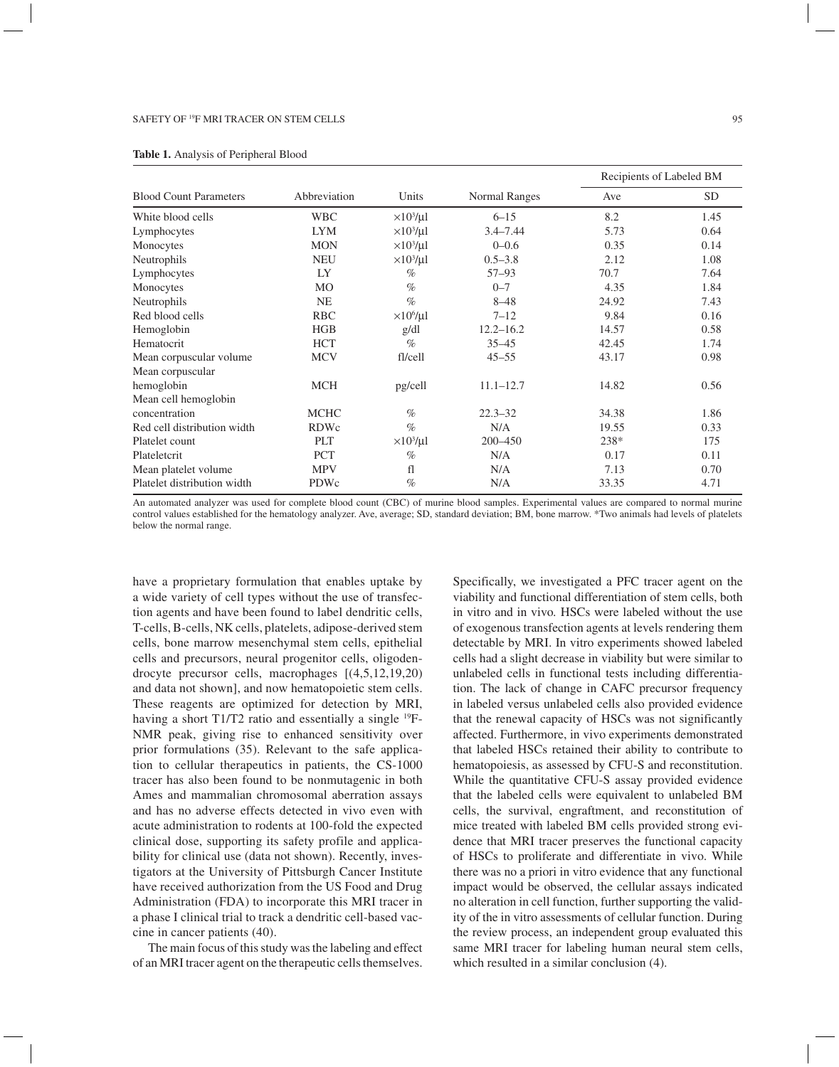| <b>Blood Count Parameters</b> | Abbreviation | Units               | Normal Ranges | Recipients of Labeled BM |      |
|-------------------------------|--------------|---------------------|---------------|--------------------------|------|
|                               |              |                     |               | Ave                      | SD.  |
| White blood cells             | <b>WBC</b>   | $\times 10^3/\mu l$ | $6 - 15$      | 8.2                      | 1.45 |
| Lymphocytes                   | <b>LYM</b>   | $\times 10^3/\mu l$ | $3.4 - 7.44$  | 5.73                     | 0.64 |
| Monocytes                     | <b>MON</b>   | $\times 10^3/\mu l$ | $0 - 0.6$     | 0.35                     | 0.14 |
| Neutrophils                   | <b>NEU</b>   | $\times 10^3/\mu l$ | $0.5 - 3.8$   | 2.12                     | 1.08 |
| Lymphocytes                   | LY           | $\%$                | $57 - 93$     | 70.7                     | 7.64 |
| Monocytes                     | <b>MO</b>    | $\%$                | $0 - 7$       | 4.35                     | 1.84 |
| Neutrophils                   | <b>NE</b>    | $\%$                | $8 - 48$      | 24.92                    | 7.43 |
| Red blood cells               | <b>RBC</b>   | $\times 10^6/\mu l$ | $7 - 12$      | 9.84                     | 0.16 |
| Hemoglobin                    | HGB          | g/dl                | $12.2 - 16.2$ | 14.57                    | 0.58 |
| Hematocrit                    | <b>HCT</b>   | $\%$                | $35 - 45$     | 42.45                    | 1.74 |
| Mean corpuscular volume       | <b>MCV</b>   | fl/cell             | $45 - 55$     | 43.17                    | 0.98 |
| Mean corpuscular              |              |                     |               |                          |      |
| hemoglobin                    | <b>MCH</b>   | pg/cell             | $11.1 - 12.7$ | 14.82                    | 0.56 |
| Mean cell hemoglobin          |              |                     |               |                          |      |
| concentration                 | <b>MCHC</b>  | $\%$                | $22.3 - 32$   | 34.38                    | 1.86 |
| Red cell distribution width   | <b>RDWc</b>  | $\%$                | N/A           | 19.55                    | 0.33 |
| Platelet count                | <b>PLT</b>   | $\times 10^3/\mu l$ | $200 - 450$   | 238*                     | 175  |
| Plateletcrit                  | <b>PCT</b>   | $\%$                | N/A           | 0.17                     | 0.11 |
| Mean platelet volume          | <b>MPV</b>   | f1                  | N/A           | 7.13                     | 0.70 |
| Platelet distribution width   | PDWc         | $\%$                | N/A           | 33.35                    | 4.71 |

**Table 1.** Analysis of Peripheral Blood

An automated analyzer was used for complete blood count (CBC) of murine blood samples. Experimental values are compared to normal murine control values established for the hematology analyzer. Ave, average; SD, standard deviation; BM, bone marrow. \*Two animals had levels of platelets below the normal range.

have a proprietary formulation that enables uptake by a wide variety of cell types without the use of transfection agents and have been found to label dendritic cells, T-cells, B-cells, NK cells, platelets, adipose-derived stem cells, bone marrow mesenchymal stem cells, epithelial cells and precursors, neural progenitor cells, oligodendrocyte precursor cells, macrophages [(4,5,12,19,20) and data not shown], and now hematopoietic stem cells. These reagents are optimized for detection by MRI, having a short T1/T2 ratio and essentially a single 19F-NMR peak, giving rise to enhanced sensitivity over prior formulations (35). Relevant to the safe application to cellular therapeutics in patients, the CS-1000 tracer has also been found to be nonmutagenic in both Ames and mammalian chromosomal aberration assays and has no adverse effects detected in vivo even with acute administration to rodents at 100-fold the expected clinical dose, supporting its safety profile and applicability for clinical use (data not shown). Recently, investigators at the University of Pittsburgh Cancer Institute have received authorization from the US Food and Drug Administration (FDA) to incorporate this MRI tracer in a phase I clinical trial to track a dendritic cell-based vaccine in cancer patients (40).

The main focus of this study was the labeling and effect of an MRI tracer agent on the therapeutic cells themselves. Specifically, we investigated a PFC tracer agent on the viability and functional differentiation of stem cells, both in vitro and in vivo*.* HSCs were labeled without the use of exogenous transfection agents at levels rendering them detectable by MRI. In vitro experiments showed labeled cells had a slight decrease in viability but were similar to unlabeled cells in functional tests including differentiation. The lack of change in CAFC precursor frequency in labeled versus unlabeled cells also provided evidence that the renewal capacity of HSCs was not significantly affected. Furthermore, in vivo experiments demonstrated that labeled HSCs retained their ability to contribute to hematopoiesis, as assessed by CFU-S and reconstitution. While the quantitative CFU-S assay provided evidence that the labeled cells were equivalent to unlabeled BM cells, the survival, engraftment, and reconstitution of mice treated with labeled BM cells provided strong evidence that MRI tracer preserves the functional capacity of HSCs to proliferate and differentiate in vivo. While there was no a priori in vitro evidence that any functional impact would be observed, the cellular assays indicated no alteration in cell function, further supporting the validity of the in vitro assessments of cellular function. During the review process, an independent group evaluated this same MRI tracer for labeling human neural stem cells, which resulted in a similar conclusion (4).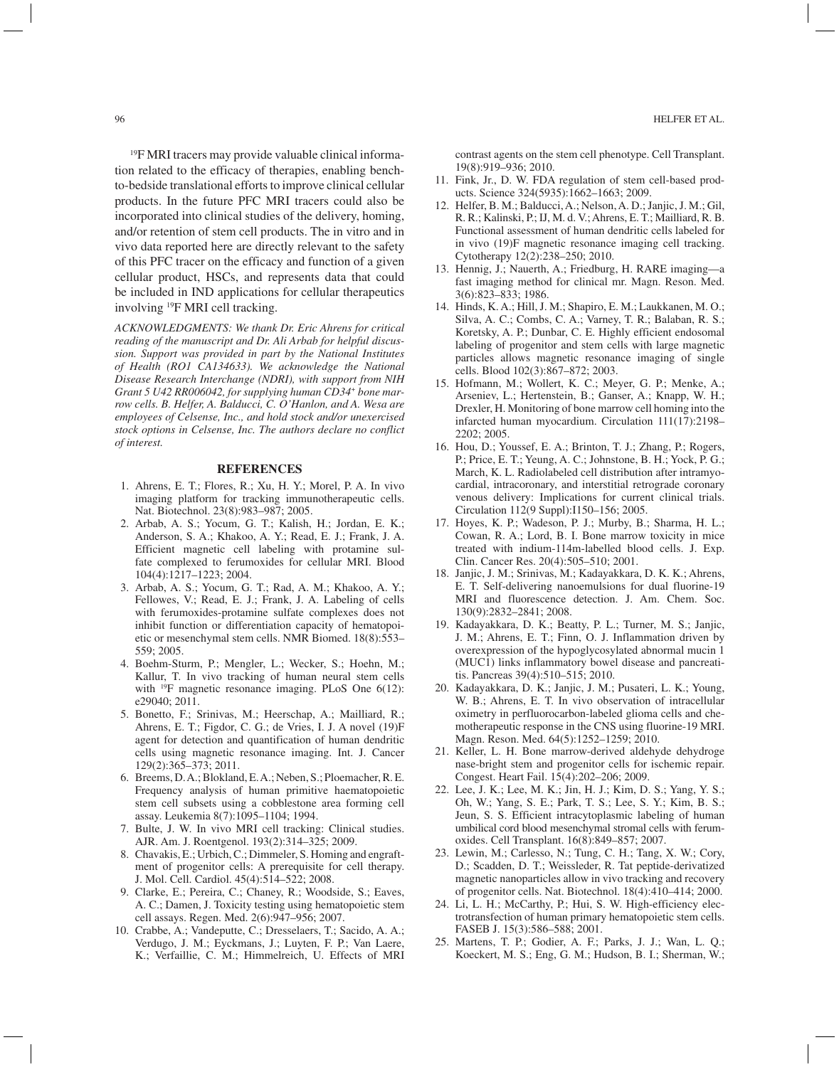19F MRI tracers may provide valuable clinical information related to the efficacy of therapies, enabling benchto-bedside translational efforts to improve clinical cellular products. In the future PFC MRI tracers could also be incorporated into clinical studies of the delivery, homing, and/or retention of stem cell products. The in vitro and in vivo data reported here are directly relevant to the safety of this PFC tracer on the efficacy and function of a given cellular product, HSCs, and represents data that could be included in IND applications for cellular therapeutics involving 19F MRI cell tracking.

*ACKNOWLEDGMENTS: We thank Dr. Eric Ahrens for critical reading of the manuscript and Dr. Ali Arbab for helpful discussion. Support was provided in part by the National Institutes of Health (RO1 CA134633). We acknowledge the National Disease Research Interchange (NDRI), with support from NIH Grant 5 U42 RR006042, for supplying human CD34+ bone marrow cells. B. Helfer, A. Balducci, C. O'Hanlon, and A. Wesa are employees of Celsense, Inc., and hold stock and/or unexercised stock options in Celsense, Inc. The authors declare no conflict of interest.*

#### **References**

- 1. Ahrens, E. T.; Flores, R.; Xu, H. Y.; Morel, P. A. In vivo imaging platform for tracking immunotherapeutic cells. Nat. Biotechnol. 23(8):983–987; 2005.
- 2. Arbab, A. S.; Yocum, G. T.; Kalish, H.; Jordan, E. K.; Anderson, S. A.; Khakoo, A. Y.; Read, E. J.; Frank, J. A. Efficient magnetic cell labeling with protamine sulfate complexed to ferumoxides for cellular MRI. Blood 104(4):1217–1223; 2004.
- 3. Arbab, A. S.; Yocum, G. T.; Rad, A. M.; Khakoo, A. Y.; Fellowes, V.; Read, E. J.; Frank, J. A. Labeling of cells with ferumoxides-protamine sulfate complexes does not inhibit function or differentiation capacity of hematopoietic or mesenchymal stem cells. NMR Biomed. 18(8):553– 559; 2005.
- 4. Boehm-Sturm, P.; Mengler, L.; Wecker, S.; Hoehn, M.; Kallur, T. In vivo tracking of human neural stem cells with <sup>19</sup>F magnetic resonance imaging. PLoS One 6(12): e29040; 2011.
- 5. Bonetto, F.; Srinivas, M.; Heerschap, A.; Mailliard, R.; Ahrens, E. T.; Figdor, C. G.; de Vries, I. J. A novel (19)F agent for detection and quantification of human dendritic cells using magnetic resonance imaging. Int. J. Cancer 129(2):365–373; 2011.
- 6. Breems, D. A.; Blokland, E. A.; Neben, S.; Ploemacher, R. E. Frequency analysis of human primitive haematopoietic stem cell subsets using a cobblestone area forming cell assay. Leukemia 8(7):1095–1104; 1994.
- 7. Bulte, J. W. In vivo MRI cell tracking: Clinical studies. AJR. Am. J. Roentgenol. 193(2):314–325; 2009.
- 8. Chavakis, E.; Urbich, C.; Dimmeler, S. Homing and engraftment of progenitor cells: A prerequisite for cell therapy. J. Mol. Cell. Cardiol. 45(4):514–522; 2008.
- 9. Clarke, E.; Pereira, C.; Chaney, R.; Woodside, S.; Eaves, A. C.; Damen, J. Toxicity testing using hematopoietic stem cell assays. Regen. Med. 2(6):947–956; 2007.
- 10. Crabbe, A.; Vandeputte, C.; Dresselaers, T.; Sacido, A. A.; Verdugo, J. M.; Eyckmans, J.; Luyten, F. P.; Van Laere, K.; Verfaillie, C. M.; Himmelreich, U. Effects of MRI

contrast agents on the stem cell phenotype. Cell Transplant. 19(8):919–936; 2010.

- 11. Fink, Jr., D. W. FDA regulation of stem cell-based products. Science 324(5935):1662–1663; 2009.
- 12. Helfer, B. M.; Balducci, A.; Nelson, A. D.; Janjic, J. M.; Gil, R. R.; Kalinski, P.; IJ, M. d. V.; Ahrens, E. T.; Mailliard, R. B. Functional assessment of human dendritic cells labeled for in vivo (19)F magnetic resonance imaging cell tracking. Cytotherapy 12(2):238–250; 2010.
- 13. Hennig, J.; Nauerth, A.; Friedburg, H. RARE imaging—a fast imaging method for clinical mr. Magn. Reson. Med. 3(6):823–833; 1986.
- 14. Hinds, K. A.; Hill, J. M.; Shapiro, E. M.; Laukkanen, M. O.; Silva, A. C.; Combs, C. A.; Varney, T. R.; Balaban, R. S.; Koretsky, A. P.; Dunbar, C. E. Highly efficient endosomal labeling of progenitor and stem cells with large magnetic particles allows magnetic resonance imaging of single cells. Blood 102(3):867–872; 2003.
- 15. Hofmann, M.; Wollert, K. C.; Meyer, G. P.; Menke, A.; Arseniev, L.; Hertenstein, B.; Ganser, A.; Knapp, W. H.; Drexler, H. Monitoring of bone marrow cell homing into the infarcted human myocardium. Circulation 111(17):2198– 2202; 2005.
- 16. Hou, D.; Youssef, E. A.; Brinton, T. J.; Zhang, P.; Rogers, P.; Price, E. T.; Yeung, A. C.; Johnstone, B. H.; Yock, P. G.; March, K. L. Radiolabeled cell distribution after intramyocardial, intracoronary, and interstitial retrograde coronary venous delivery: Implications for current clinical trials. Circulation 112(9 Suppl):I150–156; 2005.
- 17. Hoyes, K. P.; Wadeson, P. J.; Murby, B.; Sharma, H. L.; Cowan, R. A.; Lord, B. I. Bone marrow toxicity in mice treated with indium-114m-labelled blood cells. J. Exp. Clin. Cancer Res. 20(4):505–510; 2001.
- 18. Janjic, J. M.; Srinivas, M.; Kadayakkara, D. K. K.; Ahrens, E. T. Self-delivering nanoemulsions for dual fluorine-19 MRI and fluorescence detection. J. Am. Chem. Soc. 130(9):2832–2841; 2008.
- 19. Kadayakkara, D. K.; Beatty, P. L.; Turner, M. S.; Janjic, J. M.; Ahrens, E. T.; Finn, O. J. Inflammation driven by overexpression of the hypoglycosylated abnormal mucin 1 (MUC1) links inflammatory bowel disease and pancreatitis. Pancreas 39(4):510–515; 2010.
- 20. Kadayakkara, D. K.; Janjic, J. M.; Pusateri, L. K.; Young, W. B.; Ahrens, E. T. In vivo observation of intracellular oximetry in perfluorocarbon-labeled glioma cells and chemotherapeutic response in the CNS using fluorine-19 MRI. Magn. Reson. Med. 64(5):1252–1259; 2010.
- 21. Keller, L. H. Bone marrow-derived aldehyde dehydroge nase-bright stem and progenitor cells for ischemic repair. Congest. Heart Fail. 15(4):202–206; 2009.
- 22. Lee, J. K.; Lee, M. K.; Jin, H. J.; Kim, D. S.; Yang, Y. S.; Oh, W.; Yang, S. E.; Park, T. S.; Lee, S. Y.; Kim, B. S.; Jeun, S. S. Efficient intracytoplasmic labeling of human umbilical cord blood mesenchymal stromal cells with ferumoxides. Cell Transplant. 16(8):849–857; 2007.
- 23. Lewin, M.; Carlesso, N.; Tung, C. H.; Tang, X. W.; Cory, D.; Scadden, D. T.; Weissleder, R. Tat peptide-derivatized magnetic nanoparticles allow in vivo tracking and recovery of progenitor cells. Nat. Biotechnol. 18(4):410–414; 2000.
- 24. Li, L. H.; McCarthy, P.; Hui, S. W. High-efficiency electrotransfection of human primary hematopoietic stem cells. FASEB J. 15(3):586–588; 2001.
- 25. Martens, T. P.; Godier, A. F.; Parks, J. J.; Wan, L. Q.; Koeckert, M. S.; Eng, G. M.; Hudson, B. I.; Sherman, W.;